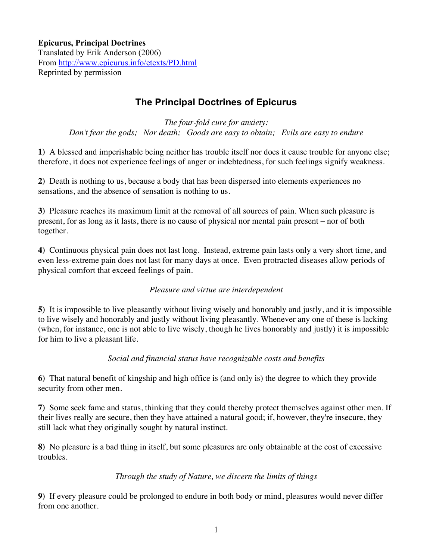# **The Principal Doctrines of Epicurus**

*The four-fold cure for anxiety: Don't fear the gods; Nor death; Goods are easy to obtain; Evils are easy to endure*

**1)** A blessed and imperishable being neither has trouble itself nor does it cause trouble for anyone else; therefore, it does not experience feelings of anger or indebtedness, for such feelings signify weakness.

**2)** Death is nothing to us, because a body that has been dispersed into elements experiences no sensations, and the absence of sensation is nothing to us.

**3)** Pleasure reaches its maximum limit at the removal of all sources of pain. When such pleasure is present, for as long as it lasts, there is no cause of physical nor mental pain present – nor of both together.

**4)** Continuous physical pain does not last long. Instead, extreme pain lasts only a very short time, and even less-extreme pain does not last for many days at once. Even protracted diseases allow periods of physical comfort that exceed feelings of pain.

### *Pleasure and virtue are interdependent*

**5)** It is impossible to live pleasantly without living wisely and honorably and justly, and it is impossible to live wisely and honorably and justly without living pleasantly. Whenever any one of these is lacking (when, for instance, one is not able to live wisely, though he lives honorably and justly) it is impossible for him to live a pleasant life.

*Social and financial status have recognizable costs and benefits*

**6)** That natural benefit of kingship and high office is (and only is) the degree to which they provide security from other men.

**7)** Some seek fame and status, thinking that they could thereby protect themselves against other men. If their lives really are secure, then they have attained a natural good; if, however, they're insecure, they still lack what they originally sought by natural instinct.

**8)** No pleasure is a bad thing in itself, but some pleasures are only obtainable at the cost of excessive troubles.

### *Through the study of Nature, we discern the limits of things*

**9)** If every pleasure could be prolonged to endure in both body or mind, pleasures would never differ from one another.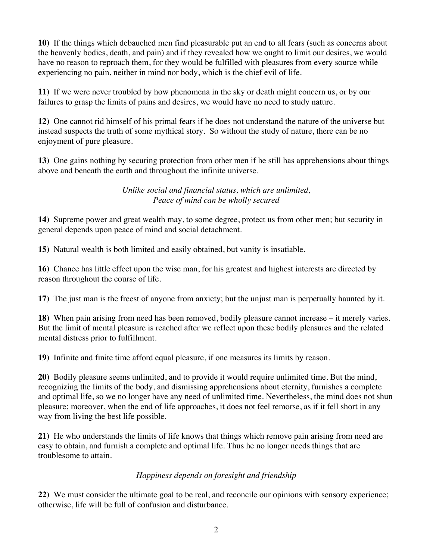**10)** If the things which debauched men find pleasurable put an end to all fears (such as concerns about the heavenly bodies, death, and pain) and if they revealed how we ought to limit our desires, we would have no reason to reproach them, for they would be fulfilled with pleasures from every source while experiencing no pain, neither in mind nor body, which is the chief evil of life.

**11)** If we were never troubled by how phenomena in the sky or death might concern us, or by our failures to grasp the limits of pains and desires, we would have no need to study nature.

**12)** One cannot rid himself of his primal fears if he does not understand the nature of the universe but instead suspects the truth of some mythical story. So without the study of nature, there can be no enjoyment of pure pleasure.

**13)** One gains nothing by securing protection from other men if he still has apprehensions about things above and beneath the earth and throughout the infinite universe.

> *Unlike social and financial status, which are unlimited, Peace of mind can be wholly secured*

**14)** Supreme power and great wealth may, to some degree, protect us from other men; but security in general depends upon peace of mind and social detachment.

**15)** Natural wealth is both limited and easily obtained, but vanity is insatiable.

**16)** Chance has little effect upon the wise man, for his greatest and highest interests are directed by reason throughout the course of life.

**17)** The just man is the freest of anyone from anxiety; but the unjust man is perpetually haunted by it.

**18)** When pain arising from need has been removed, bodily pleasure cannot increase – it merely varies. But the limit of mental pleasure is reached after we reflect upon these bodily pleasures and the related mental distress prior to fulfillment.

**19)** Infinite and finite time afford equal pleasure, if one measures its limits by reason.

**20)** Bodily pleasure seems unlimited, and to provide it would require unlimited time. But the mind, recognizing the limits of the body, and dismissing apprehensions about eternity, furnishes a complete and optimal life, so we no longer have any need of unlimited time. Nevertheless, the mind does not shun pleasure; moreover, when the end of life approaches, it does not feel remorse, as if it fell short in any way from living the best life possible.

**21)** He who understands the limits of life knows that things which remove pain arising from need are easy to obtain, and furnish a complete and optimal life. Thus he no longer needs things that are troublesome to attain.

## *Happiness depends on foresight and friendship*

**22)** We must consider the ultimate goal to be real, and reconcile our opinions with sensory experience; otherwise, life will be full of confusion and disturbance.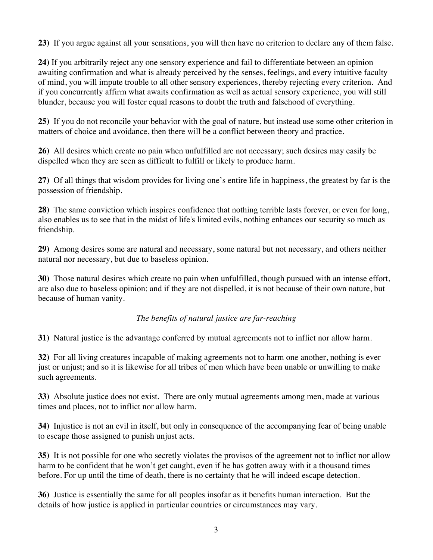**23)** If you argue against all your sensations, you will then have no criterion to declare any of them false.

**24)** If you arbitrarily reject any one sensory experience and fail to differentiate between an opinion awaiting confirmation and what is already perceived by the senses, feelings, and every intuitive faculty of mind, you will impute trouble to all other sensory experiences, thereby rejecting every criterion. And if you concurrently affirm what awaits confirmation as well as actual sensory experience, you will still blunder, because you will foster equal reasons to doubt the truth and falsehood of everything.

**25)** If you do not reconcile your behavior with the goal of nature, but instead use some other criterion in matters of choice and avoidance, then there will be a conflict between theory and practice.

**26)** All desires which create no pain when unfulfilled are not necessary; such desires may easily be dispelled when they are seen as difficult to fulfill or likely to produce harm.

**27)** Of all things that wisdom provides for living one's entire life in happiness, the greatest by far is the possession of friendship.

**28)** The same conviction which inspires confidence that nothing terrible lasts forever, or even for long, also enables us to see that in the midst of life's limited evils, nothing enhances our security so much as friendship.

**29)** Among desires some are natural and necessary, some natural but not necessary, and others neither natural nor necessary, but due to baseless opinion.

**30)** Those natural desires which create no pain when unfulfilled, though pursued with an intense effort, are also due to baseless opinion; and if they are not dispelled, it is not because of their own nature, but because of human vanity.

*The benefits of natural justice are far-reaching*

**31)** Natural justice is the advantage conferred by mutual agreements not to inflict nor allow harm.

**32)** For all living creatures incapable of making agreements not to harm one another, nothing is ever just or unjust; and so it is likewise for all tribes of men which have been unable or unwilling to make such agreements.

**33)** Absolute justice does not exist. There are only mutual agreements among men, made at various times and places, not to inflict nor allow harm.

**34)** Injustice is not an evil in itself, but only in consequence of the accompanying fear of being unable to escape those assigned to punish unjust acts.

**35)** It is not possible for one who secretly violates the provisos of the agreement not to inflict nor allow harm to be confident that he won't get caught, even if he has gotten away with it a thousand times before. For up until the time of death, there is no certainty that he will indeed escape detection.

**36)** Justice is essentially the same for all peoples insofar as it benefits human interaction. But the details of how justice is applied in particular countries or circumstances may vary.